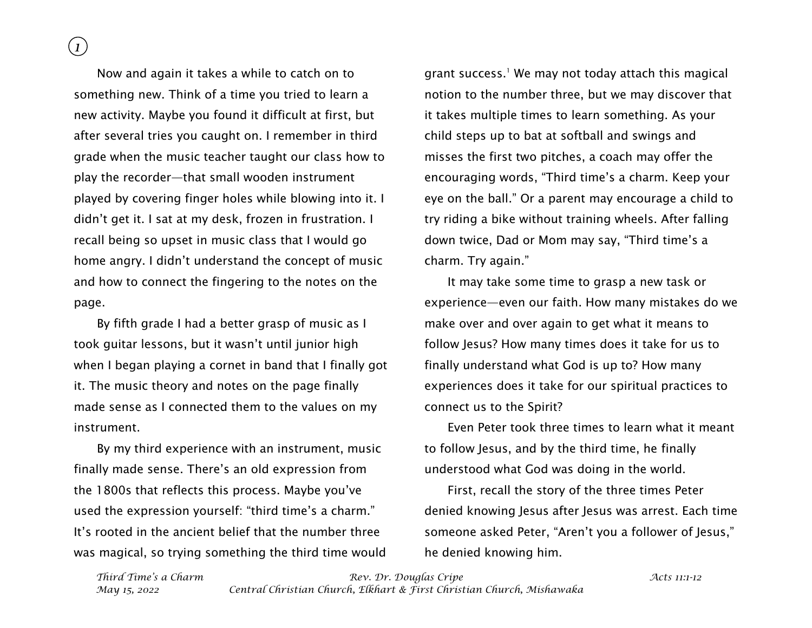*1*

Now and again it takes a while to catch on to something new. Think of a time you tried to learn a new activity. Maybe you found it difficult at first, but after several tries you caught on. I remember in third grade when the music teacher taught our class how to play the recorder—that small wooden instrument played by covering finger holes while blowing into it. I didn't get it. I sat at my desk, frozen in frustration. I recall being so upset in music class that I would go home angry. I didn't understand the concept of music and how to connect the fingering to the notes on the page.

By fifth grade I had a better grasp of music as I took guitar lessons, but it wasn't until junior high when I began playing a cornet in band that I finally got it. The music theory and notes on the page finally made sense as I connected them to the values on my instrument.

By my third experience with an instrument, music finally made sense. There's an old expression from the 1800s that reflects this process. Maybe you've used the expression yourself: "third time's a charm." It's rooted in the ancient belief that the number three was magical, so trying something the third time would grant success.<sup>1</sup> We may not today attach this magical notion to the number three, but we may discover that it takes multiple times to learn something. As your child steps up to bat at softball and swings and misses the first two pitches, a coach may offer the encouraging words, "Third time's a charm. Keep your eye on the ball." Or a parent may encourage a child to try riding a bike without training wheels. After falling down twice, Dad or Mom may say, "Third time's a charm. Try again."

It may take some time to grasp a new task or experience—even our faith. How many mistakes do we make over and over again to get what it means to follow Jesus? How many times does it take for us to finally understand what God is up to? How many experiences does it take for our spiritual practices to connect us to the Spirit?

Even Peter took three times to learn what it meant to follow Jesus, and by the third time, he finally understood what God was doing in the world.

First, recall the story of the three times Peter denied knowing Jesus after Jesus was arrest. Each time someone asked Peter, "Aren't you a follower of Jesus," he denied knowing him.

*Third Time's a Charm Rev. Dr. Douglas Cripe Acts 11:1-12 May 15, 2022 Central Christian Church, Elkhart & First Christian Church, Mishawaka*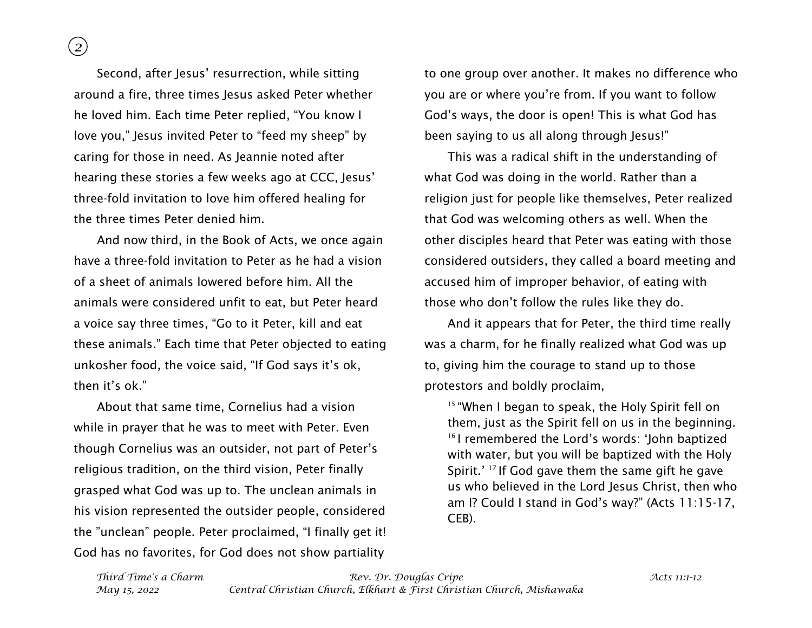*2*

Second, after Jesus' resurrection, while sitting around a fire, three times Jesus asked Peter whether he loved him. Each time Peter replied, "You know I love you," Jesus invited Peter to "feed my sheep" by caring for those in need. As Jeannie noted after hearing these stories a few weeks ago at CCC, Jesus' three-fold invitation to love him offered healing for the three times Peter denied him.

And now third, in the Book of Acts, we once again have a three-fold invitation to Peter as he had a vision of a sheet of animals lowered before him. All the animals were considered unfit to eat, but Peter heard a voice say three times, "Go to it Peter, kill and eat these animals." Each time that Peter objected to eating unkosher food, the voice said, "If God says it's ok, then it's ok."

About that same time, Cornelius had a vision while in prayer that he was to meet with Peter. Even though Cornelius was an outsider, not part of Peter's religious tradition, on the third vision, Peter finally grasped what God was up to. The unclean animals in his vision represented the outsider people, considered the "unclean" people. Peter proclaimed, "I finally get it! God has no favorites, for God does not show partiality

to one group over another. It makes no difference who you are or where you're from. If you want to follow God's ways, the door is open! This is what God has been saying to us all along through Jesus!"

This was a radical shift in the understanding of what God was doing in the world. Rather than a religion just for people like themselves, Peter realized that God was welcoming others as well. When the other disciples heard that Peter was eating with those considered outsiders, they called a board meeting and accused him of improper behavior, of eating with those who don't follow the rules like they do.

And it appears that for Peter, the third time really was a charm, for he finally realized what God was up to, giving him the courage to stand up to those protestors and boldly proclaim,

<sup>15</sup> "When I began to speak, the Holy Spirit fell on them, just as the Spirit fell on us in the beginning. <sup>16</sup> I remembered the Lord's words: 'John baptized with water, but you will be baptized with the Holy Spirit.' <sup>17</sup> If God gave them the same gift he gave us who believed in the Lord Jesus Christ, then who am I? Could I stand in God's way?" (Acts 11:15-17, CEB).

*Third Time's a Charm Rev. Dr. Douglas Cripe Acts 11:1-12 May 15, 2022 Central Christian Church, Elkhart & First Christian Church, Mishawaka*